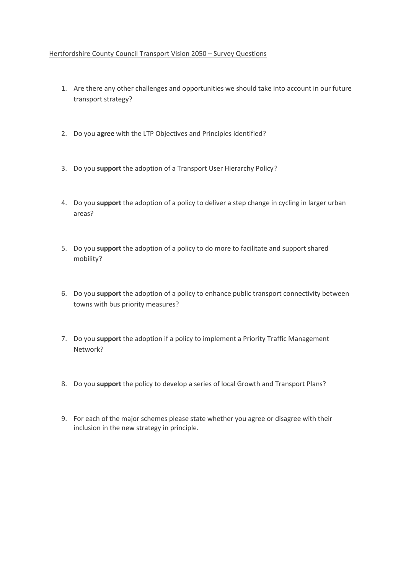## Hertfordshire County Council Transport Vision 2050 – Survey Questions

- 1. Are there any other challenges and opportunities we should take into account in our future transport strategy?
- 2. Do you **agree** with the LTP Objectives and Principles identified?
- 3. Do you **support** the adoption of a Transport User Hierarchy Policy?
- 4. Do you **support** the adoption of a policy to deliver a step change in cycling in larger urban areas?
- 5. Do you **support** the adoption of a policy to do more to facilitate and support shared mobility?
- 6. Do you **support** the adoption of a policy to enhance public transport connectivity between towns with bus priority measures?
- 7. Do you **support** the adoption if a policy to implement a Priority Traffic Management Network?
- 8. Do you **support** the policy to develop a series of local Growth and Transport Plans?
- 9. For each of the major schemes please state whether you agree or disagree with their inclusion in the new strategy in principle.